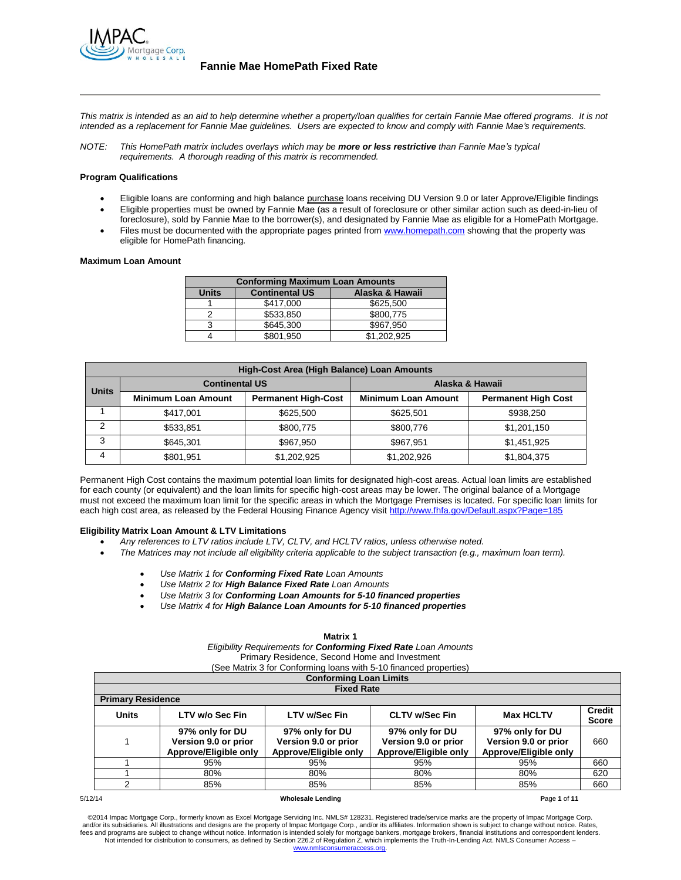

*This matrix is intended as an aid to help determine whether a property/loan qualifies for certain Fannie Mae offered programs. It is not intended as a replacement for Fannie Mae guidelines. Users are expected to know and comply with Fannie Mae's requirements.*

*NOTE: This HomePath matrix includes overlays which may be more or less restrictive than Fannie Mae's typical requirements. A thorough reading of this matrix is recommended.*

## **Program Qualifications**

- Eligible loans are conforming and high balance purchase loans receiving DU Version 9.0 or later Approve/Eligible findings Eligible properties must be owned by Fannie Mae (as a result of foreclosure or other similar action such as deed-in-lieu of
- foreclosure), sold by Fannie Mae to the borrower(s), and designated by Fannie Mae as eligible for a HomePath Mortgage. Files must be documented with the appropriate pages printed fro[m www.homepath.com](http://www.homepath.com/) showing that the property was eligible for HomePath financing.

#### **Maximum Loan Amount**

| <b>Conforming Maximum Loan Amounts</b>                   |           |             |  |  |
|----------------------------------------------------------|-----------|-------------|--|--|
| <b>Continental US</b><br>Alaska & Hawaii<br><b>Units</b> |           |             |  |  |
|                                                          | \$417,000 | \$625,500   |  |  |
|                                                          | \$533,850 | \$800.775   |  |  |
| 3                                                        | \$645,300 | \$967.950   |  |  |
|                                                          | \$801,950 | \$1.202.925 |  |  |

|               | High-Cost Area (High Balance) Loan Amounts |                            |                            |                            |  |  |
|---------------|--------------------------------------------|----------------------------|----------------------------|----------------------------|--|--|
| <b>Units</b>  | <b>Continental US</b>                      |                            | Alaska & Hawaii            |                            |  |  |
|               | <b>Minimum Loan Amount</b>                 | <b>Permanent High-Cost</b> | <b>Minimum Loan Amount</b> | <b>Permanent High Cost</b> |  |  |
|               | \$417.001                                  | \$625,500                  | \$625.501                  | \$938,250                  |  |  |
| $\mathcal{P}$ | \$533,851                                  | \$800.775                  | \$800,776                  | \$1,201,150                |  |  |
| 3             | \$645.301                                  | \$967.950                  | \$967.951                  | \$1,451,925                |  |  |
| 4             | \$801,951                                  | \$1,202,925                | \$1,202,926                | \$1,804,375                |  |  |

Permanent High Cost contains the maximum potential loan limits for designated high-cost areas. Actual loan limits are established for each county (or equivalent) and the loan limits for specific high-cost areas may be lower. The original balance of a Mortgage must not exceed the maximum loan limit for the specific areas in which the Mortgage Premises is located. For specific loan limits for each high cost area, as released by the Federal Housing Finance Agency visit<http://www.fhfa.gov/Default.aspx?Page=185>

### **Eligibility Matrix Loan Amount & LTV Limitations**

- *Any references to LTV ratios include LTV, CLTV, and HCLTV ratios, unless otherwise noted.*
- *The Matrices may not include all eligibility criteria applicable to the subject transaction (e.g., maximum loan term).*
	- *Use Matrix 1 for Conforming Fixed Rate Loan Amounts*
	- *Use Matrix 2 for High Balance Fixed Rate Loan Amounts*
	- *Use Matrix 3 for Conforming Loan Amounts for 5-10 financed properties*
	- *Use Matrix 4 for High Balance Loan Amounts for 5-10 financed properties*

# **Matrix 1**

*Eligibility Requirements for Conforming Fixed Rate Loan Amounts* Primary Residence, Second Home and Investment

|  | Primary Residence, Second Home and investment                    |  |  |
|--|------------------------------------------------------------------|--|--|
|  | See Matrix 3 for Conforming loans with 5.10 financed properties) |  |  |

| (See Matrix 3 for Conforming loans with 5-10 financed properties) |  |
|-------------------------------------------------------------------|--|
| Conforming Loan Limite                                            |  |

|                          | <b>OUTIONING LOAN LIMITS</b>                                                                                          |                                                                  |                                                                  |                                                                  |     |  |  |  |
|--------------------------|-----------------------------------------------------------------------------------------------------------------------|------------------------------------------------------------------|------------------------------------------------------------------|------------------------------------------------------------------|-----|--|--|--|
|                          | <b>Fixed Rate</b>                                                                                                     |                                                                  |                                                                  |                                                                  |     |  |  |  |
| <b>Primary Residence</b> |                                                                                                                       |                                                                  |                                                                  |                                                                  |     |  |  |  |
| <b>Units</b>             | <b>Credit</b><br>LTV w/o Sec Fin<br><b>LTV w/Sec Fin</b><br><b>CLTV w/Sec Fin</b><br><b>Max HCLTV</b><br><b>Score</b> |                                                                  |                                                                  |                                                                  |     |  |  |  |
|                          | 97% only for DU<br>Version 9.0 or prior<br>Approve/Eligible only                                                      | 97% only for DU<br>Version 9.0 or prior<br>Approve/Eligible only | 97% only for DU<br>Version 9.0 or prior<br>Approve/Eligible only | 97% only for DU<br>Version 9.0 or prior<br>Approve/Eligible only | 660 |  |  |  |
|                          | 95%                                                                                                                   | 95%                                                              | 95%                                                              | 95%                                                              | 660 |  |  |  |
|                          | 80%                                                                                                                   | 80%                                                              | 80%                                                              | 80%                                                              | 620 |  |  |  |
|                          | 85%                                                                                                                   | 85%                                                              | 85%                                                              | 85%                                                              | 660 |  |  |  |

#### 5/12/14 **Wholesale Lending P**age **1** of **11**

©2014 Impac Mortgage Corp., formerly known as Excel Mortgage Servicing Inc. NMLS# 128231. Registered trade/service marks are the property of Impac Mortgage Corp.<br>and/or its subsidiaries. All illustrations and designs are t fees and programs are subject to change without notice. Information is intended solely for mortgage bankers, mortgage brokers, financial institutions and correspondent lenders. Not intended for distribution to consumers, as defined by Section 226.2 of Regulation Z, which implements the Truth-In-Lending Act. NMLS Consumer Access – www.nm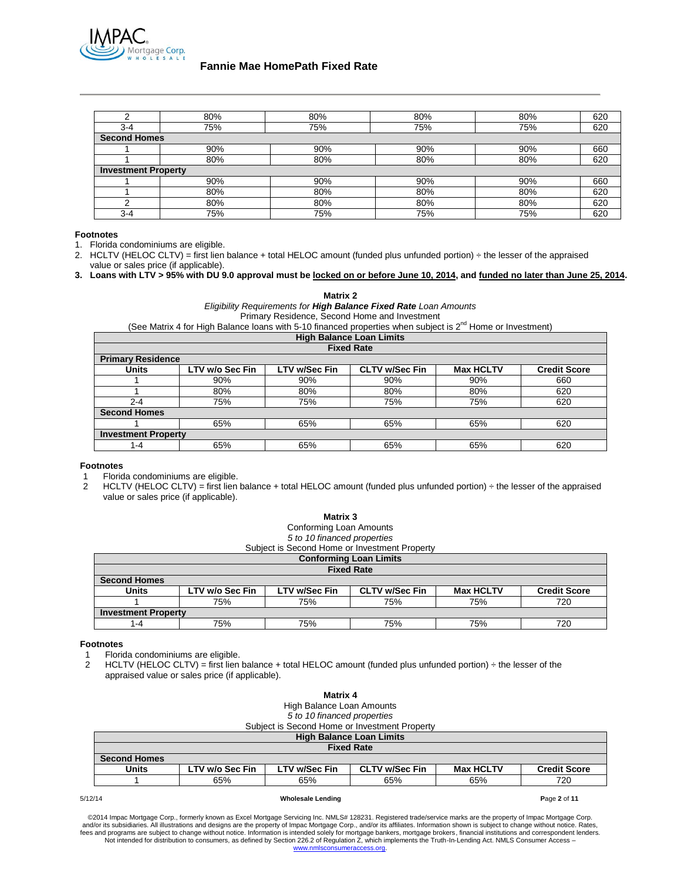

| ົ                          | 80% | 80% | 80% | 80% | 620 |
|----------------------------|-----|-----|-----|-----|-----|
| $3 - 4$                    | 75% | 75% | 75% | 75% | 620 |
| <b>Second Homes</b>        |     |     |     |     |     |
|                            | 90% | 90% | 90% | 90% | 660 |
|                            | 80% | 80% | 80% | 80% | 620 |
| <b>Investment Property</b> |     |     |     |     |     |
|                            | 90% | 90% | 90% | 90% | 660 |
|                            | 80% | 80% | 80% | 80% | 620 |
| ົ                          | 80% | 80% | 80% | 80% | 620 |
| $3 - 4$                    | 75% | 75% | 75% | 75% | 620 |

## **Footnotes**

- 1. Florida condominiums are eligible.
- 2. HCLTV (HELOC CLTV) = first lien balance + total HELOC amount (funded plus unfunded portion) ÷ the lesser of the appraised value or sales price (if applicable).
- **3. Loans with LTV > 95% with DU 9.0 approval must be locked on or before June 10, 2014, and funded no later than June 25, 2014.**

**Matrix 2**

*Eligibility Requirements for High Balance Fixed Rate Loan Amounts* Primary Residence, Second Home and Investment

(See Matrix 4 for High Balance loans with 5-10 financed properties when subject is  $2^{nd}$  Home or Investment)

| <b>High Balance Loan Limits</b> |                                 |                      |                       |                  |                     |  |
|---------------------------------|---------------------------------|----------------------|-----------------------|------------------|---------------------|--|
|                                 | <b>Fixed Rate</b>               |                      |                       |                  |                     |  |
| <b>Primary Residence</b>        |                                 |                      |                       |                  |                     |  |
| <b>Units</b>                    | LTV w/o Sec Fin                 | <b>LTV w/Sec Fin</b> | <b>CLTV w/Sec Fin</b> | <b>Max HCLTV</b> | <b>Credit Score</b> |  |
|                                 | 90%                             | 90%                  | 90%                   | 90%              | 660                 |  |
|                                 | 80%                             | 80%                  | 80%                   | 80%              | 620                 |  |
| $2 - 4$                         | 75%                             | 75%                  | 75%                   | 75%              | 620                 |  |
| <b>Second Homes</b>             |                                 |                      |                       |                  |                     |  |
|                                 | 65%<br>65%<br>65%<br>65%<br>620 |                      |                       |                  |                     |  |
| <b>Investment Property</b>      |                                 |                      |                       |                  |                     |  |
| 1-4                             | 65%                             | 65%                  | 65%                   | 65%              | 620                 |  |

## **Footnotes**

Florida condominiums are eligible.

2 HCLTV (HELOC CLTV) = first lien balance + total HELOC amount (funded plus unfunded portion)  $\div$  the lesser of the appraised value or sales price (if applicable).

| Matrix 3<br>Conforming Loan Amounts<br>5 to 10 financed properties |                            |                      |                                               |                  |                     |
|--------------------------------------------------------------------|----------------------------|----------------------|-----------------------------------------------|------------------|---------------------|
|                                                                    |                            |                      | Subject is Second Home or Investment Property |                  |                     |
|                                                                    |                            |                      | <b>Conforming Loan Limits</b>                 |                  |                     |
|                                                                    |                            |                      | <b>Fixed Rate</b>                             |                  |                     |
| <b>Second Homes</b>                                                |                            |                      |                                               |                  |                     |
| <b>Units</b>                                                       | LTV w/o Sec Fin            | <b>LTV w/Sec Fin</b> | <b>CLTV w/Sec Fin</b>                         | <b>Max HCLTV</b> | <b>Credit Score</b> |
| 75%<br>75%<br>75%<br>720<br>75%                                    |                            |                      |                                               |                  |                     |
|                                                                    | <b>Investment Property</b> |                      |                                               |                  |                     |
| $1 - 4$                                                            | 75%                        | 75%                  | 75%                                           | 75%              | 720                 |

### **Footnotes**

1 Florida condominiums are eligible.

2 HCLTV (HELOC CLTV) = first lien balance + total HELOC amount (funded plus unfunded portion) ÷ the lesser of the appraised value or sales price (if applicable).

| Matrix 4                                                                                                                    |                           |                             |                                               |     |     |
|-----------------------------------------------------------------------------------------------------------------------------|---------------------------|-----------------------------|-----------------------------------------------|-----|-----|
|                                                                                                                             | High Balance Loan Amounts |                             |                                               |     |     |
|                                                                                                                             |                           | 5 to 10 financed properties |                                               |     |     |
|                                                                                                                             |                           |                             | Subject is Second Home or Investment Property |     |     |
|                                                                                                                             |                           |                             | <b>High Balance Loan Limits</b>               |     |     |
|                                                                                                                             |                           |                             | <b>Fixed Rate</b>                             |     |     |
| <b>Second Homes</b>                                                                                                         |                           |                             |                                               |     |     |
| <b>CLTV w/Sec Fin</b><br>LTV w/o Sec Fin<br><b>LTV w/Sec Fin</b><br><b>Max HCLTV</b><br><b>Credit Score</b><br><b>Units</b> |                           |                             |                                               |     |     |
|                                                                                                                             | 65%                       | 65%                         | 65%                                           | 65% | 720 |
|                                                                                                                             |                           |                             |                                               |     |     |

#### 5/12/14 **Wholesale Lending P**age **2** of **11**

©2014 Impac Mortgage Corp., formerly known as Excel Mortgage Servicing Inc. NMLS# 128231. Registered trade/service marks are the property of Impac Mortgage Corp.<br>The and/or its subsidiaries. All illustrations and designs Not intended for distribution to consumers, as defined by Section 226.2 of Regulation Z, which implements the Truth-In-Lending Act. NMLS Consumer Access – www.nmlsconsumerac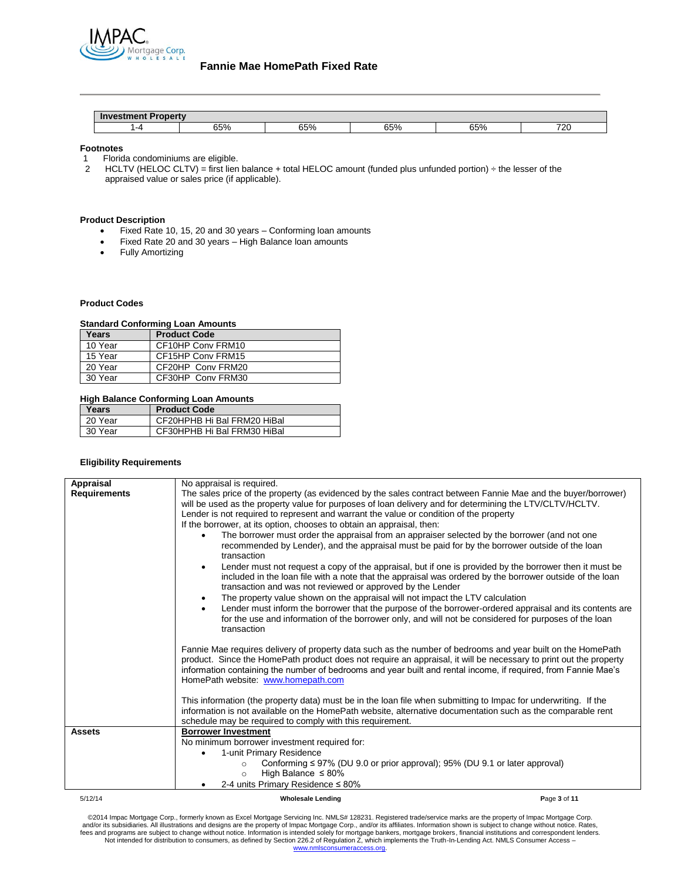

| $-1$ | CE O<br>00 YO | C E0/<br>JJ 70 | 65% | 65% | 720 |
|------|---------------|----------------|-----|-----|-----|

### **Footnotes**

- 1 Florida condominiums are eligible.<br>2 HCLTV (HELOC CLTV) = first lien
- HCLTV (HELOC CLTV) = first lien balance + total HELOC amount (funded plus unfunded portion) ÷ the lesser of the appraised value or sales price (if applicable).

# **Product Description**

- Fixed Rate 10, 15, 20 and 30 years Conforming loan amounts
- Fixed Rate 20 and 30 years High Balance loan amounts
- Fully Amortizing

## **Product Codes**

# **Standard Conforming Loan Amounts**

| Years   | <b>Product Code</b> |  |  |  |
|---------|---------------------|--|--|--|
| 10 Year | CF10HP Conv FRM10   |  |  |  |
| 15 Year | CF15HP Conv FRM15   |  |  |  |
| 20 Year | CF20HP Conv FRM20   |  |  |  |
| 30 Year | CF30HP Conv FRM30   |  |  |  |
|         |                     |  |  |  |

# **High Balance Conforming Loan Amounts**

| Years   | <b>Product Code</b>         |
|---------|-----------------------------|
| 20 Year | CF20HPHB Hi Bal FRM20 HiBal |
| 30 Year | CF30HPHB Hi Bal FRM30 HiBal |

### **Eligibility Requirements**

| Appraisal           | No appraisal is required.                                                                                                                                                                                                                                                                                                                                                                |              |
|---------------------|------------------------------------------------------------------------------------------------------------------------------------------------------------------------------------------------------------------------------------------------------------------------------------------------------------------------------------------------------------------------------------------|--------------|
| <b>Requirements</b> | The sales price of the property (as evidenced by the sales contract between Fannie Mae and the buyer/borrower)<br>will be used as the property value for purposes of loan delivery and for determining the LTV/CLTV/HCLTV.<br>Lender is not required to represent and warrant the value or condition of the property                                                                     |              |
|                     | If the borrower, at its option, chooses to obtain an appraisal, then:                                                                                                                                                                                                                                                                                                                    |              |
|                     | The borrower must order the appraisal from an appraiser selected by the borrower (and not one<br>recommended by Lender), and the appraisal must be paid for by the borrower outside of the loan<br>transaction                                                                                                                                                                           |              |
|                     | Lender must not request a copy of the appraisal, but if one is provided by the borrower then it must be<br>$\bullet$<br>included in the loan file with a note that the appraisal was ordered by the borrower outside of the loan<br>transaction and was not reviewed or approved by the Lender                                                                                           |              |
|                     | The property value shown on the appraisal will not impact the LTV calculation<br>$\bullet$                                                                                                                                                                                                                                                                                               |              |
|                     | Lender must inform the borrower that the purpose of the borrower-ordered appraisal and its contents are<br>$\bullet$<br>for the use and information of the borrower only, and will not be considered for purposes of the loan<br>transaction                                                                                                                                             |              |
|                     | Fannie Mae requires delivery of property data such as the number of bedrooms and year built on the HomePath<br>product. Since the HomePath product does not require an appraisal, it will be necessary to print out the property<br>information containing the number of bedrooms and year built and rental income, if required, from Fannie Mae's<br>HomePath website: www.homepath.com |              |
|                     | This information (the property data) must be in the loan file when submitting to Impac for underwriting. If the<br>information is not available on the HomePath website, alternative documentation such as the comparable rent<br>schedule may be required to comply with this requirement.                                                                                              |              |
| <b>Assets</b>       | <b>Borrower Investment</b>                                                                                                                                                                                                                                                                                                                                                               |              |
|                     | No minimum borrower investment required for:                                                                                                                                                                                                                                                                                                                                             |              |
|                     | 1-unit Primary Residence                                                                                                                                                                                                                                                                                                                                                                 |              |
|                     | Conforming $\leq$ 97% (DU 9.0 or prior approval); 95% (DU 9.1 or later approval)<br>$\circ$<br>High Balance $\leq 80\%$<br>$\circ$                                                                                                                                                                                                                                                       |              |
|                     | 2-4 units Primary Residence $\leq 80\%$                                                                                                                                                                                                                                                                                                                                                  |              |
| 5/12/14             | <b>Wholesale Lending</b>                                                                                                                                                                                                                                                                                                                                                                 | Page 3 of 11 |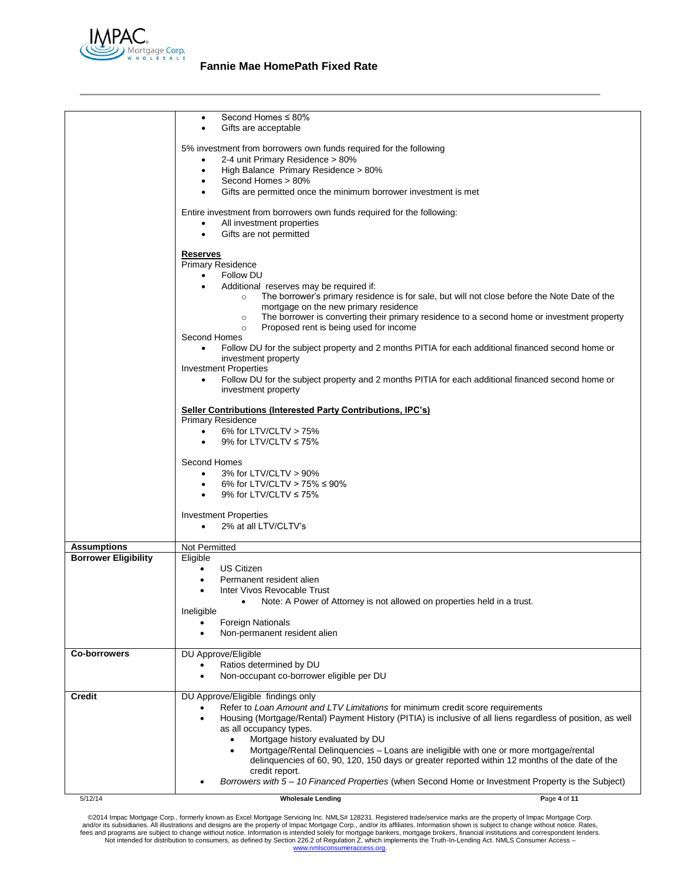

|                             | Second Homes ≤ 80%<br>$\bullet$                                                                                                                    |  |
|-----------------------------|----------------------------------------------------------------------------------------------------------------------------------------------------|--|
|                             | Gifts are acceptable<br>٠                                                                                                                          |  |
|                             |                                                                                                                                                    |  |
|                             | 5% investment from borrowers own funds required for the following                                                                                  |  |
|                             | 2-4 unit Primary Residence > 80%<br>$\bullet$                                                                                                      |  |
|                             | High Balance Primary Residence > 80%<br>٠                                                                                                          |  |
|                             | Second Homes > 80%<br>$\bullet$                                                                                                                    |  |
|                             | Gifts are permitted once the minimum borrower investment is met                                                                                    |  |
|                             |                                                                                                                                                    |  |
|                             | Entire investment from borrowers own funds required for the following:                                                                             |  |
|                             | All investment properties<br>$\bullet$                                                                                                             |  |
|                             | Gifts are not permitted<br>$\bullet$                                                                                                               |  |
|                             | <b>Reserves</b>                                                                                                                                    |  |
|                             | <b>Primary Residence</b>                                                                                                                           |  |
|                             | Follow DU<br>$\bullet$                                                                                                                             |  |
|                             | $\bullet$                                                                                                                                          |  |
|                             | Additional reserves may be required if:<br>The borrower's primary residence is for sale, but will not close before the Note Date of the<br>$\circ$ |  |
|                             | mortgage on the new primary residence                                                                                                              |  |
|                             | The borrower is converting their primary residence to a second home or investment property<br>$\circ$                                              |  |
|                             | Proposed rent is being used for income<br>$\circ$                                                                                                  |  |
|                             | Second Homes                                                                                                                                       |  |
|                             | Follow DU for the subject property and 2 months PITIA for each additional financed second home or<br>$\bullet$                                     |  |
|                             | investment property                                                                                                                                |  |
|                             | <b>Investment Properties</b>                                                                                                                       |  |
|                             | Follow DU for the subject property and 2 months PITIA for each additional financed second home or<br>$\bullet$                                     |  |
|                             | investment property                                                                                                                                |  |
|                             |                                                                                                                                                    |  |
|                             | Seller Contributions (Interested Party Contributions, IPC's)                                                                                       |  |
|                             | <b>Primary Residence</b>                                                                                                                           |  |
|                             | 6% for LTV/CLTV > 75%<br>$\bullet$                                                                                                                 |  |
|                             | 9% for LTV/CLTV $\leq$ 75%                                                                                                                         |  |
|                             |                                                                                                                                                    |  |
|                             | Second Homes                                                                                                                                       |  |
|                             | 3% for LTV/CLTV > 90%<br>$\bullet$                                                                                                                 |  |
|                             | 6% for LTV/CLTV > 75% $\leq$ 90%<br>$\bullet$                                                                                                      |  |
|                             | 9% for LTV/CLTV $\leq$ 75%                                                                                                                         |  |
|                             | <b>Investment Properties</b>                                                                                                                       |  |
|                             | 2% at all LTV/CLTV's<br>$\bullet$                                                                                                                  |  |
|                             |                                                                                                                                                    |  |
| <b>Assumptions</b>          | Not Permitted                                                                                                                                      |  |
| <b>Borrower Eligibility</b> | Eligible                                                                                                                                           |  |
|                             | <b>US Citizen</b><br>$\bullet$                                                                                                                     |  |
|                             | Permanent resident alien                                                                                                                           |  |
|                             | Inter Vivos Revocable Trust<br>$\bullet$                                                                                                           |  |
|                             | • Note: A Power of Attorney is not allowed on properties held in a trust.                                                                          |  |
|                             | Ineligible                                                                                                                                         |  |
|                             | <b>Foreign Nationals</b>                                                                                                                           |  |
|                             | Non-permanent resident alien                                                                                                                       |  |
|                             |                                                                                                                                                    |  |
| <b>Co-borrowers</b>         | DU Approve/Eligible                                                                                                                                |  |
|                             | Ratios determined by DU                                                                                                                            |  |
|                             | Non-occupant co-borrower eligible per DU                                                                                                           |  |
|                             |                                                                                                                                                    |  |
| Credit                      | DU Approve/Eligible findings only                                                                                                                  |  |
|                             | Refer to Loan Amount and LTV Limitations for minimum credit score requirements                                                                     |  |
|                             | Housing (Mortgage/Rental) Payment History (PITIA) is inclusive of all liens regardless of position, as well                                        |  |
|                             | as all occupancy types.                                                                                                                            |  |
|                             | Mortgage history evaluated by DU<br>$\bullet$                                                                                                      |  |
|                             | Mortgage/Rental Delinquencies - Loans are ineligible with one or more mortgage/rental                                                              |  |
|                             | delinguencies of 60, 90, 120, 150 days or greater reported within 12 months of the date of the                                                     |  |
|                             | credit report.                                                                                                                                     |  |
|                             | Borrowers with 5 - 10 Financed Properties (when Second Home or Investment Property is the Subject)                                                 |  |
| 5/12/14                     | Page 4 of 11<br><b>Wholesale Lending</b>                                                                                                           |  |
|                             |                                                                                                                                                    |  |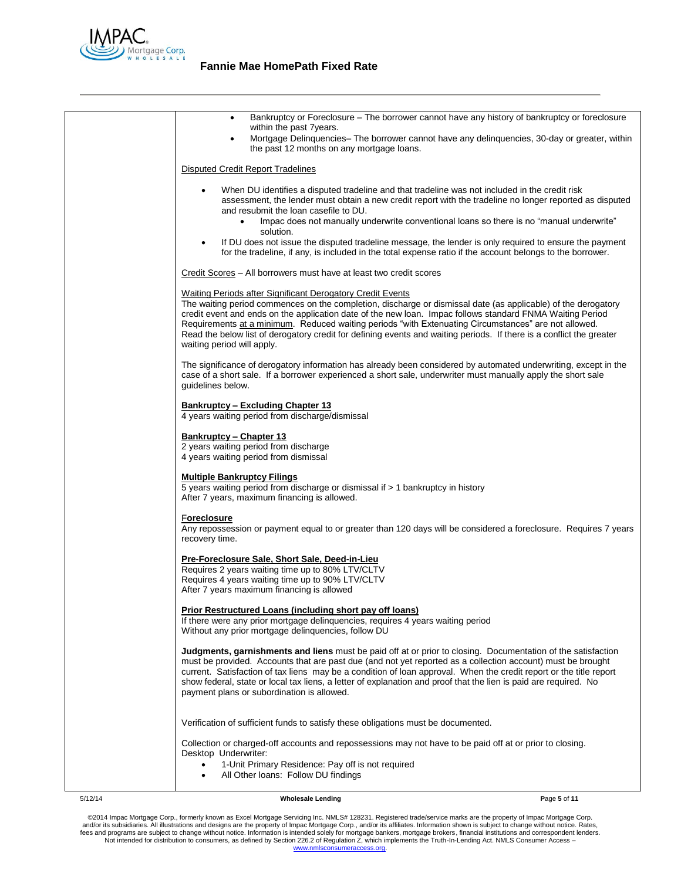

| Bankruptcy or Foreclosure - The borrower cannot have any history of bankruptcy or foreclosure<br>$\bullet$<br>within the past 7 years.<br>Mortgage Delinquencies- The borrower cannot have any delinquencies, 30-day or greater, within                                                                                                                                                                                                                                                                                                                       |
|---------------------------------------------------------------------------------------------------------------------------------------------------------------------------------------------------------------------------------------------------------------------------------------------------------------------------------------------------------------------------------------------------------------------------------------------------------------------------------------------------------------------------------------------------------------|
| $\bullet$<br>the past 12 months on any mortgage loans.                                                                                                                                                                                                                                                                                                                                                                                                                                                                                                        |
| Disputed Credit Report Tradelines                                                                                                                                                                                                                                                                                                                                                                                                                                                                                                                             |
| When DU identifies a disputed tradeline and that tradeline was not included in the credit risk<br>٠<br>assessment, the lender must obtain a new credit report with the tradeline no longer reported as disputed<br>and resubmit the loan casefile to DU.<br>Impac does not manually underwrite conventional loans so there is no "manual underwrite"<br>$\bullet$<br>solution.                                                                                                                                                                                |
| If DU does not issue the disputed tradeline message, the lender is only required to ensure the payment<br>$\bullet$<br>for the tradeline, if any, is included in the total expense ratio if the account belongs to the borrower.                                                                                                                                                                                                                                                                                                                              |
| Credit Scores – All borrowers must have at least two credit scores                                                                                                                                                                                                                                                                                                                                                                                                                                                                                            |
| <b>Waiting Periods after Significant Derogatory Credit Events</b><br>The waiting period commences on the completion, discharge or dismissal date (as applicable) of the derogatory<br>credit event and ends on the application date of the new loan. Impac follows standard FNMA Waiting Period<br>Requirements at a minimum. Reduced waiting periods "with Extenuating Circumstances" are not allowed.<br>Read the below list of derogatory credit for defining events and waiting periods. If there is a conflict the greater<br>waiting period will apply. |
| The significance of derogatory information has already been considered by automated underwriting, except in the<br>case of a short sale. If a borrower experienced a short sale, underwriter must manually apply the short sale<br>guidelines below.                                                                                                                                                                                                                                                                                                          |
| <b>Bankruptcy - Excluding Chapter 13</b><br>4 years waiting period from discharge/dismissal                                                                                                                                                                                                                                                                                                                                                                                                                                                                   |
| Bankruptcy - Chapter 13<br>2 years waiting period from discharge<br>4 years waiting period from dismissal                                                                                                                                                                                                                                                                                                                                                                                                                                                     |
| <b>Multiple Bankruptcy Filings</b><br>5 years waiting period from discharge or dismissal if > 1 bankruptcy in history<br>After 7 years, maximum financing is allowed.                                                                                                                                                                                                                                                                                                                                                                                         |
| Foreclosure<br>Any repossession or payment equal to or greater than 120 days will be considered a foreclosure. Requires 7 years<br>recovery time.                                                                                                                                                                                                                                                                                                                                                                                                             |
| Pre-Foreclosure Sale, Short Sale, Deed-in-Lieu<br>Requires 2 years waiting time up to 80% LTV/CLTV<br>Requires 4 years waiting time up to 90% LTV/CLTV<br>After 7 years maximum financing is allowed                                                                                                                                                                                                                                                                                                                                                          |
| <b>Prior Restructured Loans (including short pay off loans)</b><br>If there were any prior mortgage delinquencies, requires 4 years waiting period<br>Without any prior mortgage delinquencies, follow DU                                                                                                                                                                                                                                                                                                                                                     |
| Judgments, garnishments and liens must be paid off at or prior to closing. Documentation of the satisfaction<br>must be provided. Accounts that are past due (and not yet reported as a collection account) must be brought<br>current. Satisfaction of tax liens may be a condition of loan approval. When the credit report or the title report<br>show federal, state or local tax liens, a letter of explanation and proof that the lien is paid are required. No<br>payment plans or subordination is allowed.                                           |
| Verification of sufficient funds to satisfy these obligations must be documented.                                                                                                                                                                                                                                                                                                                                                                                                                                                                             |
| Collection or charged-off accounts and repossessions may not have to be paid off at or prior to closing.<br>Desktop Underwriter:<br>1-Unit Primary Residence: Pay off is not required<br>$\bullet$<br>All Other Ioans: Follow DU findings                                                                                                                                                                                                                                                                                                                     |
|                                                                                                                                                                                                                                                                                                                                                                                                                                                                                                                                                               |

5/12/14 **Wholesale Lending P**age **5** of **11**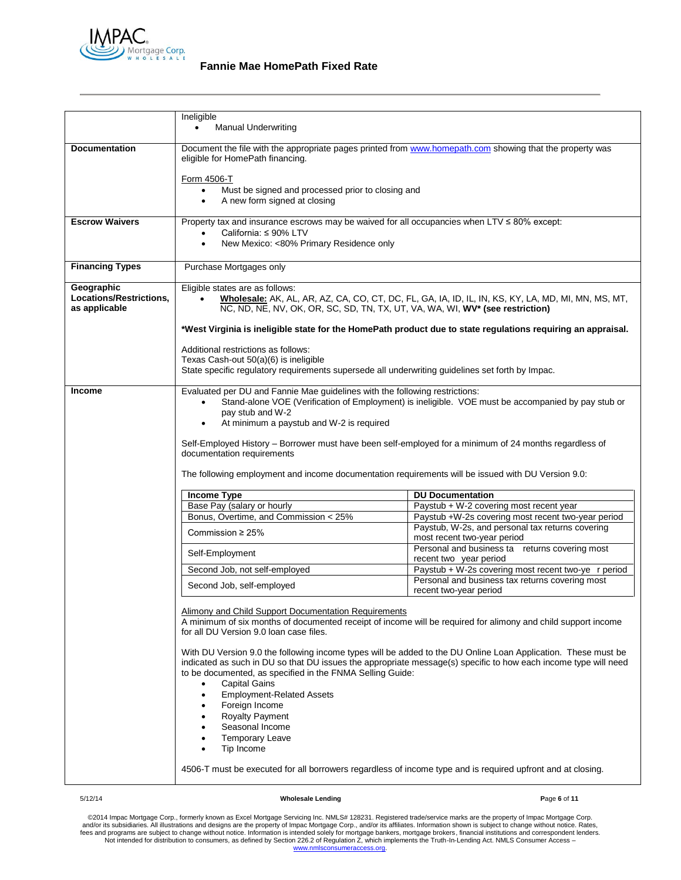

| 5/12/14                               | <b>Wholesale Lending</b>                                                                                                                                                     | Page 6 of 11                                                                                                 |  |
|---------------------------------------|------------------------------------------------------------------------------------------------------------------------------------------------------------------------------|--------------------------------------------------------------------------------------------------------------|--|
|                                       |                                                                                                                                                                              | 4506-T must be executed for all borrowers regardless of income type and is required upfront and at closing.  |  |
|                                       | Tip Income<br>$\bullet$                                                                                                                                                      |                                                                                                              |  |
|                                       | Seasonal Income<br><b>Temporary Leave</b><br>٠                                                                                                                               |                                                                                                              |  |
|                                       | Foreign Income<br><b>Royalty Payment</b><br>$\bullet$                                                                                                                        |                                                                                                              |  |
|                                       | <b>Capital Gains</b><br>٠<br><b>Employment-Related Assets</b><br>$\bullet$                                                                                                   |                                                                                                              |  |
|                                       | indicated as such in DU so that DU issues the appropriate message(s) specific to how each income type will need<br>to be documented, as specified in the FNMA Selling Guide: |                                                                                                              |  |
|                                       | With DU Version 9.0 the following income types will be added to the DU Online Loan Application. These must be                                                                |                                                                                                              |  |
|                                       | A minimum of six months of documented receipt of income will be required for alimony and child support income<br>for all DU Version 9.0 loan case files.                     |                                                                                                              |  |
|                                       | Alimony and Child Support Documentation Requirements                                                                                                                         |                                                                                                              |  |
|                                       | Personal and business tax returns covering most<br>Second Job, self-employed<br>recent two-year period                                                                       |                                                                                                              |  |
|                                       | Second Job, not self-employed                                                                                                                                                | Paystub + W-2s covering most recent two-ye r period                                                          |  |
|                                       | Self-Employment                                                                                                                                                              | Personal and business ta returns covering most<br>recent two year period                                     |  |
|                                       | Commission $\geq$ 25%                                                                                                                                                        | Paystub, W-2s, and personal tax returns covering<br>most recent two-year period                              |  |
|                                       | Base Pay (salary or hourly<br>Bonus, Overtime, and Commission < 25%                                                                                                          | Paystub + W-2 covering most recent year<br>Paystub +W-2s covering most recent two-year period                |  |
|                                       | <b>Income Type</b>                                                                                                                                                           | <b>DU Documentation</b>                                                                                      |  |
|                                       |                                                                                                                                                                              | The following employment and income documentation requirements will be issued with DU Version 9.0:           |  |
|                                       |                                                                                                                                                                              |                                                                                                              |  |
|                                       | Self-Employed History - Borrower must have been self-employed for a minimum of 24 months regardless of<br>documentation requirements                                         |                                                                                                              |  |
|                                       | At minimum a paystub and W-2 is required                                                                                                                                     |                                                                                                              |  |
|                                       | pay stub and W-2                                                                                                                                                             | Stand-alone VOE (Verification of Employment) is ineligible. VOE must be accompanied by pay stub or           |  |
| <b>Income</b>                         | Evaluated per DU and Fannie Mae guidelines with the following restrictions:                                                                                                  |                                                                                                              |  |
|                                       | State specific regulatory requirements supersede all underwriting guidelines set forth by Impac.                                                                             |                                                                                                              |  |
|                                       | Additional restrictions as follows:<br>Texas Cash-out 50(a)(6) is ineligible                                                                                                 |                                                                                                              |  |
|                                       |                                                                                                                                                                              | *West Virginia is ineligible state for the HomePath product due to state regulations requiring an appraisal. |  |
| as applicable                         |                                                                                                                                                                              | NC, ND, NE, NV, OK, OR, SC, SD, TN, TX, UT, VA, WA, WI, WV* (see restriction)                                |  |
| Geographic<br>Locations/Restrictions, | Eligible states are as follows:<br>Wholesale: AK, AL, AR, AZ, CA, CO, CT, DC, FL, GA, IA, ID, IL, IN, KS, KY, LA, MD, MI, MN, MS, MT,                                        |                                                                                                              |  |
|                                       |                                                                                                                                                                              |                                                                                                              |  |
| <b>Financing Types</b>                | Purchase Mortgages only                                                                                                                                                      |                                                                                                              |  |
|                                       | California: ≤ 90% LTV<br>New Mexico: <80% Primary Residence only                                                                                                             |                                                                                                              |  |
| <b>Escrow Waivers</b>                 | $\bullet$<br>Property tax and insurance escrows may be waived for all occupancies when LTV $\leq 80\%$ except:                                                               |                                                                                                              |  |
|                                       | Form 4506-T<br>Must be signed and processed prior to closing and<br>$\bullet$<br>A new form signed at closing                                                                |                                                                                                              |  |
|                                       | eligible for HomePath financing.                                                                                                                                             |                                                                                                              |  |
| <b>Documentation</b>                  | Document the file with the appropriate pages printed from www.homepath.com showing that the property was                                                                     |                                                                                                              |  |
|                                       | Ineligible<br><b>Manual Underwriting</b>                                                                                                                                     |                                                                                                              |  |
|                                       |                                                                                                                                                                              |                                                                                                              |  |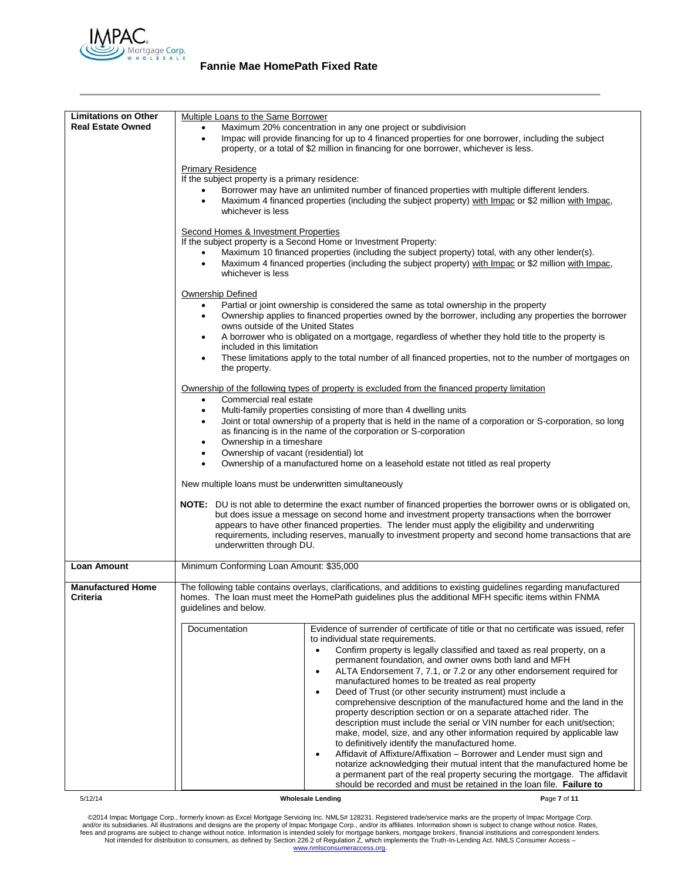

| <b>Limitations on Other</b>          | Multiple Loans to the Same Borrower                                                                                                                                                                                                                                                                                                                                                                                                                                                                                                                                                                                                                                                                                                                                                                                                                                                                                                                                                                                                                                                                                                                                                                    |  |  |
|--------------------------------------|--------------------------------------------------------------------------------------------------------------------------------------------------------------------------------------------------------------------------------------------------------------------------------------------------------------------------------------------------------------------------------------------------------------------------------------------------------------------------------------------------------------------------------------------------------------------------------------------------------------------------------------------------------------------------------------------------------------------------------------------------------------------------------------------------------------------------------------------------------------------------------------------------------------------------------------------------------------------------------------------------------------------------------------------------------------------------------------------------------------------------------------------------------------------------------------------------------|--|--|
| <b>Real Estate Owned</b>             | Maximum 20% concentration in any one project or subdivision<br>Impac will provide financing for up to 4 financed properties for one borrower, including the subject<br>$\bullet$<br>property, or a total of \$2 million in financing for one borrower, whichever is less.<br><b>Primary Residence</b><br>If the subject property is a primary residence:                                                                                                                                                                                                                                                                                                                                                                                                                                                                                                                                                                                                                                                                                                                                                                                                                                               |  |  |
|                                      | Borrower may have an unlimited number of financed properties with multiple different lenders.<br>Maximum 4 financed properties (including the subject property) with Impac or \$2 million with Impac,<br>whichever is less                                                                                                                                                                                                                                                                                                                                                                                                                                                                                                                                                                                                                                                                                                                                                                                                                                                                                                                                                                             |  |  |
|                                      | Second Homes & Investment Properties<br>If the subject property is a Second Home or Investment Property:<br>Maximum 10 financed properties (including the subject property) total, with any other lender(s).<br>Maximum 4 financed properties (including the subject property) with Impac or \$2 million with Impac,<br>$\bullet$<br>whichever is less                                                                                                                                                                                                                                                                                                                                                                                                                                                                                                                                                                                                                                                                                                                                                                                                                                                 |  |  |
|                                      | Ownership Defined<br>Partial or joint ownership is considered the same as total ownership in the property<br>$\bullet$<br>Ownership applies to financed properties owned by the borrower, including any properties the borrower<br>$\bullet$<br>owns outside of the United States<br>A borrower who is obligated on a mortgage, regardless of whether they hold title to the property is<br>٠<br>included in this limitation<br>These limitations apply to the total number of all financed properties, not to the number of mortgages on<br>٠                                                                                                                                                                                                                                                                                                                                                                                                                                                                                                                                                                                                                                                         |  |  |
|                                      | the property.<br>Ownership of the following types of property is excluded from the financed property limitation<br>Commercial real estate<br>$\bullet$<br>Multi-family properties consisting of more than 4 dwelling units<br>$\bullet$<br>Joint or total ownership of a property that is held in the name of a corporation or S-corporation, so long<br>٠<br>as financing is in the name of the corporation or S-corporation<br>Ownership in a timeshare<br>٠                                                                                                                                                                                                                                                                                                                                                                                                                                                                                                                                                                                                                                                                                                                                         |  |  |
|                                      | Ownership of vacant (residential) lot<br>٠<br>Ownership of a manufactured home on a leasehold estate not titled as real property<br>$\bullet$<br>New multiple loans must be underwritten simultaneously<br>NOTE: DU is not able to determine the exact number of financed properties the borrower owns or is obligated on,<br>but does issue a message on second home and investment property transactions when the borrower<br>appears to have other financed properties. The lender must apply the eligibility and underwriting<br>requirements, including reserves, manually to investment property and second home transactions that are                                                                                                                                                                                                                                                                                                                                                                                                                                                                                                                                                           |  |  |
|                                      | underwritten through DU.                                                                                                                                                                                                                                                                                                                                                                                                                                                                                                                                                                                                                                                                                                                                                                                                                                                                                                                                                                                                                                                                                                                                                                               |  |  |
| <b>Loan Amount</b>                   | Minimum Conforming Loan Amount: \$35,000                                                                                                                                                                                                                                                                                                                                                                                                                                                                                                                                                                                                                                                                                                                                                                                                                                                                                                                                                                                                                                                                                                                                                               |  |  |
| <b>Manufactured Home</b><br>Criteria | The following table contains overlays, clarifications, and additions to existing guidelines regarding manufactured<br>homes. The loan must meet the HomePath quidelines plus the additional MFH specific items within FNMA<br>guidelines and below.                                                                                                                                                                                                                                                                                                                                                                                                                                                                                                                                                                                                                                                                                                                                                                                                                                                                                                                                                    |  |  |
|                                      | Documentation<br>Evidence of surrender of certificate of title or that no certificate was issued, refer<br>to individual state requirements.<br>Confirm property is legally classified and taxed as real property, on a<br>$\bullet$<br>permanent foundation, and owner owns both land and MFH<br>ALTA Endorsement 7, 7.1, or 7.2 or any other endorsement required for<br>$\bullet$<br>manufactured homes to be treated as real property<br>Deed of Trust (or other security instrument) must include a<br>$\bullet$<br>comprehensive description of the manufactured home and the land in the<br>property description section or on a separate attached rider. The<br>description must include the serial or VIN number for each unit/section;<br>make, model, size, and any other information required by applicable law<br>to definitively identify the manufactured home.<br>Affidavit of Affixture/Affixation - Borrower and Lender must sign and<br>$\bullet$<br>notarize acknowledging their mutual intent that the manufactured home be<br>a permanent part of the real property securing the mortgage. The affidavit<br>should be recorded and must be retained in the loan file. Failure to |  |  |
| 5/12/14                              | Page 7 of 11<br><b>Wholesale Lending</b>                                                                                                                                                                                                                                                                                                                                                                                                                                                                                                                                                                                                                                                                                                                                                                                                                                                                                                                                                                                                                                                                                                                                                               |  |  |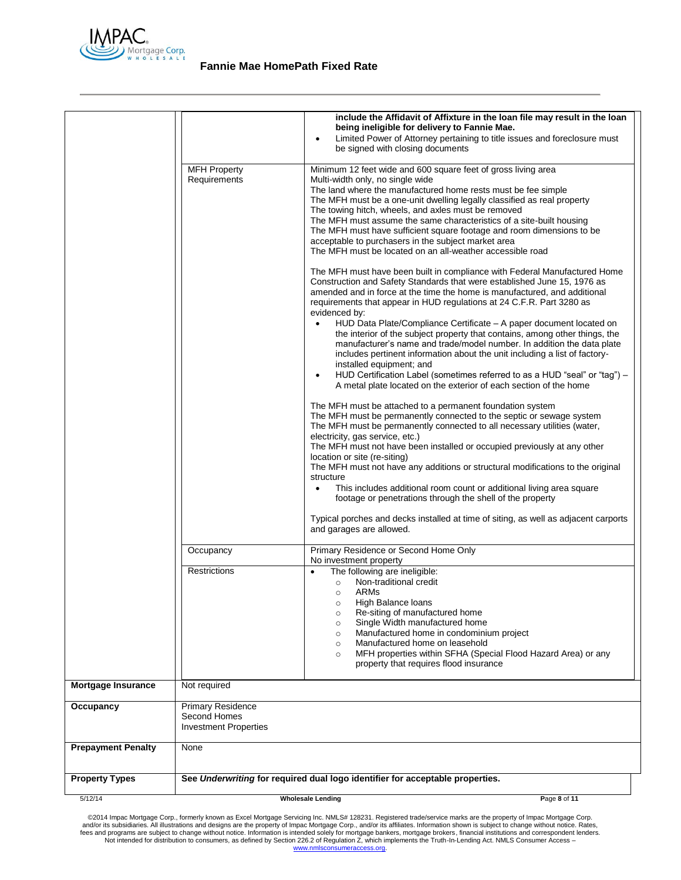

| 5/12/14                   |                                                      | <b>Wholesale Lending</b><br>Page 8 of 11                                                                                                                                                                                                                                                                                                                                                                                                                                                                                                                                                                                                                                                                                                                                                                                               |
|---------------------------|------------------------------------------------------|----------------------------------------------------------------------------------------------------------------------------------------------------------------------------------------------------------------------------------------------------------------------------------------------------------------------------------------------------------------------------------------------------------------------------------------------------------------------------------------------------------------------------------------------------------------------------------------------------------------------------------------------------------------------------------------------------------------------------------------------------------------------------------------------------------------------------------------|
| <b>Property Types</b>     |                                                      | See Underwriting for required dual logo identifier for acceptable properties.                                                                                                                                                                                                                                                                                                                                                                                                                                                                                                                                                                                                                                                                                                                                                          |
| <b>Prepayment Penalty</b> | Second Homes<br><b>Investment Properties</b><br>None |                                                                                                                                                                                                                                                                                                                                                                                                                                                                                                                                                                                                                                                                                                                                                                                                                                        |
| Occupancy                 | <b>Primary Residence</b>                             |                                                                                                                                                                                                                                                                                                                                                                                                                                                                                                                                                                                                                                                                                                                                                                                                                                        |
| <b>Mortgage Insurance</b> | Not required                                         |                                                                                                                                                                                                                                                                                                                                                                                                                                                                                                                                                                                                                                                                                                                                                                                                                                        |
|                           |                                                      | The following are ineligible:<br>$\bullet$<br>Non-traditional credit<br>$\circ$<br>ARMs<br>$\circ$<br>High Balance loans<br>Re-siting of manufactured home<br>$\circ$<br>Single Width manufactured home<br>$\circ$<br>Manufactured home in condominium project<br>$\circ$<br>Manufactured home on leasehold<br>$\circ$<br>MFH properties within SFHA (Special Flood Hazard Area) or any<br>$\circ$<br>property that requires flood insurance                                                                                                                                                                                                                                                                                                                                                                                           |
|                           | Occupancy<br>Restrictions                            | Primary Residence or Second Home Only<br>No investment property                                                                                                                                                                                                                                                                                                                                                                                                                                                                                                                                                                                                                                                                                                                                                                        |
|                           |                                                      | Typical porches and decks installed at time of siting, as well as adjacent carports<br>and garages are allowed.                                                                                                                                                                                                                                                                                                                                                                                                                                                                                                                                                                                                                                                                                                                        |
|                           |                                                      | The MFH must be attached to a permanent foundation system<br>The MFH must be permanently connected to the septic or sewage system<br>The MFH must be permanently connected to all necessary utilities (water,<br>electricity, gas service, etc.)<br>The MFH must not have been installed or occupied previously at any other<br>location or site (re-siting)<br>The MFH must not have any additions or structural modifications to the original<br>structure<br>This includes additional room count or additional living area square<br>$\bullet$<br>footage or penetrations through the shell of the property                                                                                                                                                                                                                         |
|                           |                                                      | The MFH must have been built in compliance with Federal Manufactured Home<br>Construction and Safety Standards that were established June 15, 1976 as<br>amended and in force at the time the home is manufactured, and additional<br>requirements that appear in HUD regulations at 24 C.F.R. Part 3280 as<br>evidenced by:<br>HUD Data Plate/Compliance Certificate - A paper document located on<br>the interior of the subject property that contains, among other things, the<br>manufacturer's name and trade/model number. In addition the data plate<br>includes pertinent information about the unit including a list of factory-<br>installed equipment; and<br>HUD Certification Label (sometimes referred to as a HUD "seal" or "tag") -<br>$\bullet$<br>A metal plate located on the exterior of each section of the home |
|                           | <b>MFH Property</b><br>Requirements                  | Minimum 12 feet wide and 600 square feet of gross living area<br>Multi-width only, no single wide<br>The land where the manufactured home rests must be fee simple<br>The MFH must be a one-unit dwelling legally classified as real property<br>The towing hitch, wheels, and axles must be removed<br>The MFH must assume the same characteristics of a site-built housing<br>The MFH must have sufficient square footage and room dimensions to be<br>acceptable to purchasers in the subject market area<br>The MFH must be located on an all-weather accessible road                                                                                                                                                                                                                                                              |
|                           |                                                      | include the Affidavit of Affixture in the loan file may result in the loan<br>being ineligible for delivery to Fannie Mae.<br>Limited Power of Attorney pertaining to title issues and foreclosure must<br>$\bullet$<br>be signed with closing documents                                                                                                                                                                                                                                                                                                                                                                                                                                                                                                                                                                               |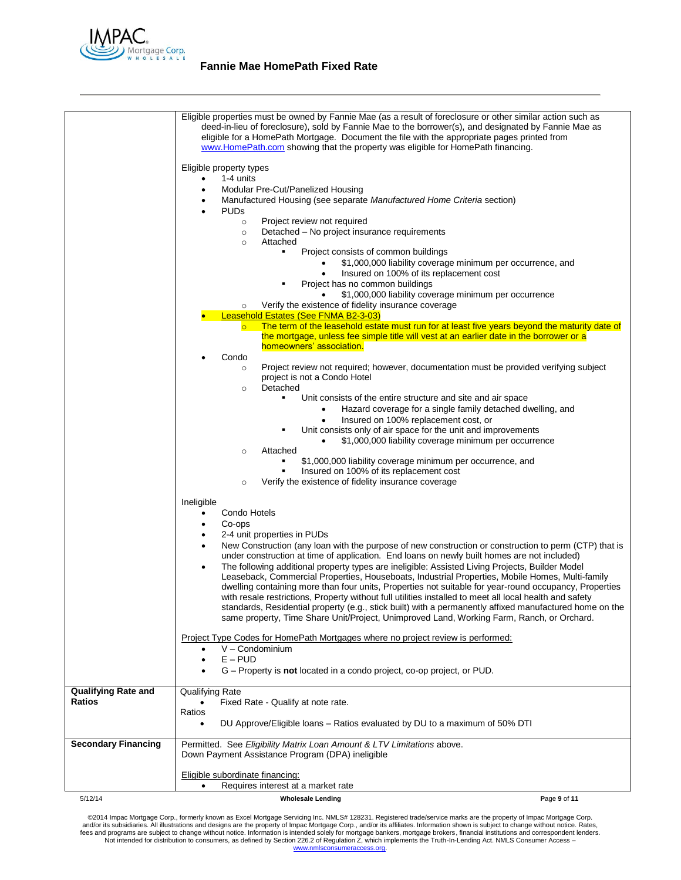

|                            | Eligible properties must be owned by Fannie Mae (as a result of foreclosure or other similar action such as<br>deed-in-lieu of foreclosure), sold by Fannie Mae to the borrower(s), and designated by Fannie Mae as<br>eligible for a HomePath Mortgage. Document the file with the appropriate pages printed from<br>www.HomePath.com showing that the property was eligible for HomePath financing. |  |
|----------------------------|-------------------------------------------------------------------------------------------------------------------------------------------------------------------------------------------------------------------------------------------------------------------------------------------------------------------------------------------------------------------------------------------------------|--|
|                            | Eligible property types                                                                                                                                                                                                                                                                                                                                                                               |  |
|                            | 1-4 units<br>$\bullet$<br>Modular Pre-Cut/Panelized Housing                                                                                                                                                                                                                                                                                                                                           |  |
|                            | Manufactured Housing (see separate Manufactured Home Criteria section)<br><b>PUDs</b><br>$\bullet$                                                                                                                                                                                                                                                                                                    |  |
|                            | Project review not required<br>$\circ$<br>Detached - No project insurance requirements<br>$\circ$                                                                                                                                                                                                                                                                                                     |  |
|                            | Attached<br>$\circ$<br>Project consists of common buildings                                                                                                                                                                                                                                                                                                                                           |  |
|                            | \$1,000,000 liability coverage minimum per occurrence, and                                                                                                                                                                                                                                                                                                                                            |  |
|                            | Insured on 100% of its replacement cost<br>Project has no common buildings                                                                                                                                                                                                                                                                                                                            |  |
|                            | \$1,000,000 liability coverage minimum per occurrence                                                                                                                                                                                                                                                                                                                                                 |  |
|                            | Verify the existence of fidelity insurance coverage<br>$\circ$<br>Leasehold Estates (See FNMA B2-3-03)                                                                                                                                                                                                                                                                                                |  |
|                            | The term of the leasehold estate must run for at least five years beyond the maturity date of<br>$\overline{O}$                                                                                                                                                                                                                                                                                       |  |
|                            | the mortgage, unless fee simple title will vest at an earlier date in the borrower or a<br>homeowners' association.                                                                                                                                                                                                                                                                                   |  |
|                            | Condo<br>Project review not required; however, documentation must be provided verifying subject<br>$\circ$                                                                                                                                                                                                                                                                                            |  |
|                            | project is not a Condo Hotel<br>Detached<br>$\circ$                                                                                                                                                                                                                                                                                                                                                   |  |
|                            | Unit consists of the entire structure and site and air space<br>٠                                                                                                                                                                                                                                                                                                                                     |  |
|                            | Hazard coverage for a single family detached dwelling, and<br>٠<br>Insured on 100% replacement cost, or                                                                                                                                                                                                                                                                                               |  |
|                            | Unit consists only of air space for the unit and improvements                                                                                                                                                                                                                                                                                                                                         |  |
|                            | \$1,000,000 liability coverage minimum per occurrence<br>Attached<br>$\circ$                                                                                                                                                                                                                                                                                                                          |  |
|                            | \$1,000,000 liability coverage minimum per occurrence, and                                                                                                                                                                                                                                                                                                                                            |  |
|                            | Insured on 100% of its replacement cost<br>Verify the existence of fidelity insurance coverage<br>$\circ$                                                                                                                                                                                                                                                                                             |  |
|                            | Ineligible                                                                                                                                                                                                                                                                                                                                                                                            |  |
|                            | Condo Hotels<br>Co-ops                                                                                                                                                                                                                                                                                                                                                                                |  |
|                            | 2-4 unit properties in PUDs                                                                                                                                                                                                                                                                                                                                                                           |  |
|                            | New Construction (any loan with the purpose of new construction or construction to perm (CTP) that is<br>under construction at time of application. End loans on newly built homes are not included)<br>The following additional property types are ineligible: Assisted Living Projects, Builder Model<br>$\bullet$                                                                                  |  |
|                            | Leaseback, Commercial Properties, Houseboats, Industrial Properties, Mobile Homes, Multi-family<br>dwelling containing more than four units, Properties not suitable for year-round occupancy, Properties                                                                                                                                                                                             |  |
|                            | with resale restrictions, Property without full utilities installed to meet all local health and safety<br>standards, Residential property (e.g., stick built) with a permanently affixed manufactured home on the                                                                                                                                                                                    |  |
|                            | same property, Time Share Unit/Project, Unimproved Land, Working Farm, Ranch, or Orchard.                                                                                                                                                                                                                                                                                                             |  |
|                            | Project Type Codes for HomePath Mortgages where no project review is performed:<br>V - Condominium                                                                                                                                                                                                                                                                                                    |  |
|                            | $E - PUD$<br>G – Property is <b>not</b> located in a condo project, co-op project, or PUD.                                                                                                                                                                                                                                                                                                            |  |
| Qualifying Rate and        | <b>Qualifying Rate</b>                                                                                                                                                                                                                                                                                                                                                                                |  |
| Ratios                     | Fixed Rate - Qualify at note rate.<br>Ratios                                                                                                                                                                                                                                                                                                                                                          |  |
|                            | DU Approve/Eligible loans – Ratios evaluated by DU to a maximum of 50% DTI<br>$\bullet$                                                                                                                                                                                                                                                                                                               |  |
| <b>Secondary Financing</b> | Permitted. See Eligibility Matrix Loan Amount & LTV Limitations above.<br>Down Payment Assistance Program (DPA) ineligible                                                                                                                                                                                                                                                                            |  |
|                            | Eligible subordinate financing:<br>Requires interest at a market rate                                                                                                                                                                                                                                                                                                                                 |  |
| 5/12/14                    | <b>Wholesale Lending</b><br>Page 9 of 11                                                                                                                                                                                                                                                                                                                                                              |  |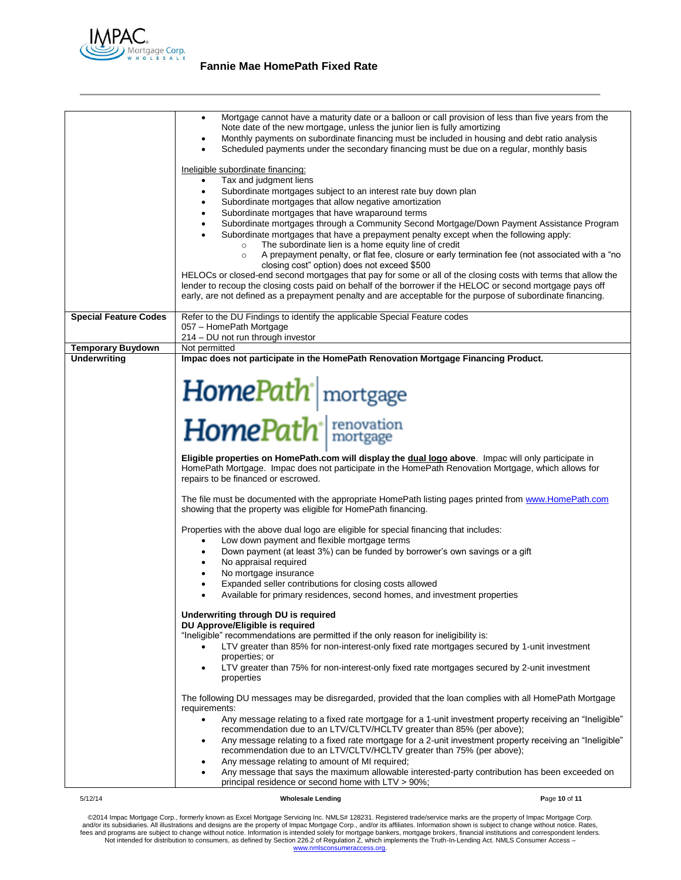

|                              | Mortgage cannot have a maturity date or a balloon or call provision of less than five years from the<br>٠                                                                                      |  |  |
|------------------------------|------------------------------------------------------------------------------------------------------------------------------------------------------------------------------------------------|--|--|
|                              | Note date of the new mortgage, unless the junior lien is fully amortizing                                                                                                                      |  |  |
|                              | Monthly payments on subordinate financing must be included in housing and debt ratio analysis<br>Scheduled payments under the secondary financing must be due on a regular, monthly basis      |  |  |
|                              |                                                                                                                                                                                                |  |  |
|                              | Ineligible subordinate financing:                                                                                                                                                              |  |  |
|                              | Tax and judgment liens                                                                                                                                                                         |  |  |
|                              | Subordinate mortgages subject to an interest rate buy down plan<br>٠                                                                                                                           |  |  |
|                              | Subordinate mortgages that allow negative amortization                                                                                                                                         |  |  |
|                              | Subordinate mortgages that have wraparound terms<br>Subordinate mortgages through a Community Second Mortgage/Down Payment Assistance Program<br>٠                                             |  |  |
|                              | Subordinate mortgages that have a prepayment penalty except when the following apply:                                                                                                          |  |  |
|                              | The subordinate lien is a home equity line of credit<br>$\circ$                                                                                                                                |  |  |
|                              | A prepayment penalty, or flat fee, closure or early termination fee (not associated with a "no<br>$\circ$                                                                                      |  |  |
|                              | closing cost" option) does not exceed \$500<br>HELOCs or closed-end second mortgages that pay for some or all of the closing costs with terms that allow the                                   |  |  |
|                              | lender to recoup the closing costs paid on behalf of the borrower if the HELOC or second mortgage pays off                                                                                     |  |  |
|                              | early, are not defined as a prepayment penalty and are acceptable for the purpose of subordinate financing.                                                                                    |  |  |
|                              |                                                                                                                                                                                                |  |  |
| <b>Special Feature Codes</b> | Refer to the DU Findings to identify the applicable Special Feature codes                                                                                                                      |  |  |
|                              | 057 - HomePath Mortgage<br>214 - DU not run through investor                                                                                                                                   |  |  |
| <b>Temporary Buydown</b>     | Not permitted                                                                                                                                                                                  |  |  |
| <b>Underwriting</b>          | Impac does not participate in the HomePath Renovation Mortgage Financing Product.                                                                                                              |  |  |
|                              |                                                                                                                                                                                                |  |  |
|                              |                                                                                                                                                                                                |  |  |
|                              |                                                                                                                                                                                                |  |  |
|                              | HomePath <sup>*</sup> mortgage                                                                                                                                                                 |  |  |
|                              | HomePath <sup>+</sup> renovation                                                                                                                                                               |  |  |
|                              |                                                                                                                                                                                                |  |  |
|                              |                                                                                                                                                                                                |  |  |
|                              | Eligible properties on HomePath.com will display the dual logo above. Impac will only participate in                                                                                           |  |  |
|                              | HomePath Mortgage. Impac does not participate in the HomePath Renovation Mortgage, which allows for                                                                                            |  |  |
|                              | repairs to be financed or escrowed.                                                                                                                                                            |  |  |
|                              | The file must be documented with the appropriate HomePath listing pages printed from www.HomePath.com                                                                                          |  |  |
|                              | showing that the property was eligible for HomePath financing.                                                                                                                                 |  |  |
|                              |                                                                                                                                                                                                |  |  |
|                              | Properties with the above dual logo are eligible for special financing that includes:<br>Low down payment and flexible mortgage terms                                                          |  |  |
|                              | Down payment (at least 3%) can be funded by borrower's own savings or a gift<br>٠                                                                                                              |  |  |
|                              | No appraisal required<br>$\bullet$                                                                                                                                                             |  |  |
|                              | No mortgage insurance                                                                                                                                                                          |  |  |
|                              | Expanded seller contributions for closing costs allowed                                                                                                                                        |  |  |
|                              | Available for primary residences, second homes, and investment properties                                                                                                                      |  |  |
|                              | Underwriting through DU is required                                                                                                                                                            |  |  |
|                              | DU Approve/Eligible is required                                                                                                                                                                |  |  |
|                              | "Ineligible" recommendations are permitted if the only reason for ineligibility is:                                                                                                            |  |  |
|                              | LTV greater than 85% for non-interest-only fixed rate mortgages secured by 1-unit investment                                                                                                   |  |  |
|                              | properties; or                                                                                                                                                                                 |  |  |
|                              | LTV greater than 75% for non-interest-only fixed rate mortgages secured by 2-unit investment<br>٠<br>properties                                                                                |  |  |
|                              |                                                                                                                                                                                                |  |  |
|                              | The following DU messages may be disregarded, provided that the loan complies with all HomePath Mortgage                                                                                       |  |  |
|                              | requirements:                                                                                                                                                                                  |  |  |
|                              | Any message relating to a fixed rate mortgage for a 1-unit investment property receiving an "Ineligible"<br>$\bullet$<br>recommendation due to an LTV/CLTV/HCLTV greater than 85% (per above); |  |  |
|                              | Any message relating to a fixed rate mortgage for a 2-unit investment property receiving an "Ineligible"<br>٠                                                                                  |  |  |
|                              | recommendation due to an LTV/CLTV/HCLTV greater than 75% (per above);                                                                                                                          |  |  |
|                              | Any message relating to amount of MI required;                                                                                                                                                 |  |  |
|                              | Any message that says the maximum allowable interested-party contribution has been exceeded on                                                                                                 |  |  |
|                              | principal residence or second home with LTV > 90%;                                                                                                                                             |  |  |
| 5/12/14                      | <b>Wholesale Lending</b><br>Page 10 of 11                                                                                                                                                      |  |  |